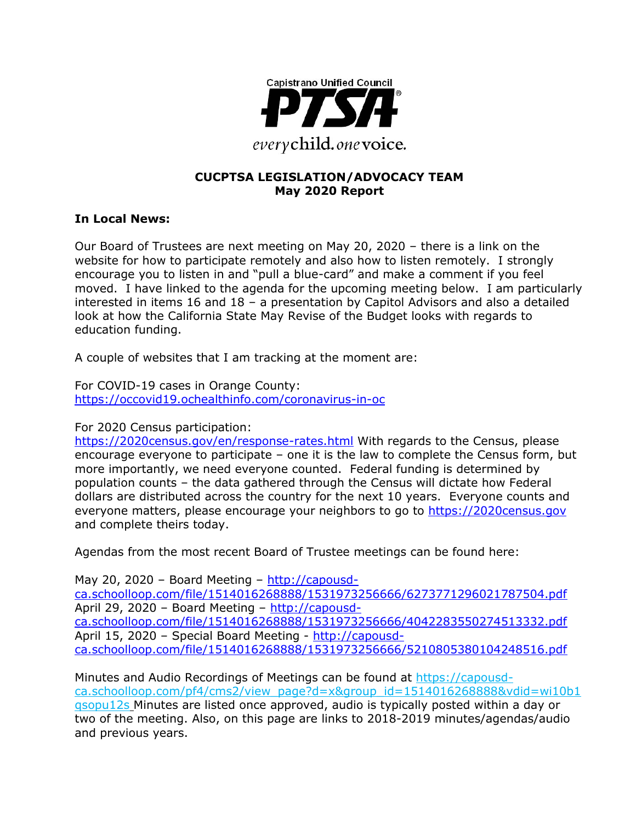

#### **CUCPTSA LEGISLATION/ADVOCACY TEAM May 2020 Report**

#### **In Local News:**

Our Board of Trustees are next meeting on May 20, 2020 – there is a link on the website for how to participate remotely and also how to listen remotely. I strongly encourage you to listen in and "pull a blue-card" and make a comment if you feel moved. I have linked to the agenda for the upcoming meeting below. I am particularly interested in items 16 and 18 – a presentation by Capitol Advisors and also a detailed look at how the California State May Revise of the Budget looks with regards to education funding.

A couple of websites that I am tracking at the moment are:

For COVID-19 cases in Orange County: <https://occovid19.ochealthinfo.com/coronavirus-in-oc>

For 2020 Census participation:

<https://2020census.gov/en/response-rates.html> With regards to the Census, please encourage everyone to participate – one it is the law to complete the Census form, but more importantly, we need everyone counted. Federal funding is determined by population counts – the data gathered through the Census will dictate how Federal dollars are distributed across the country for the next 10 years. Everyone counts and everyone matters, please encourage your neighbors to go to [https://2020census.gov](https://2020census.gov/) and complete theirs today.

Agendas from the most recent Board of Trustee meetings can be found here:

May 20, 2020 - Board Meeting - [http://capousd](http://capousd-ca.schoolloop.com/file/1514016268888/1531973256666/6273771296021787504.pdf)[ca.schoolloop.com/file/1514016268888/1531973256666/6273771296021787504.pdf](http://capousd-ca.schoolloop.com/file/1514016268888/1531973256666/6273771296021787504.pdf) April 29, 2020 – Board Meeting – [http://capousd](http://capousd-ca.schoolloop.com/file/1514016268888/1531973256666/4042283550274513332.pdf)[ca.schoolloop.com/file/1514016268888/1531973256666/4042283550274513332.pdf](http://capousd-ca.schoolloop.com/file/1514016268888/1531973256666/4042283550274513332.pdf) April 15, 2020 – Special Board Meeting - [http://capousd](http://capousd-ca.schoolloop.com/file/1514016268888/1531973256666/5210805380104248516.pdf)[ca.schoolloop.com/file/1514016268888/1531973256666/5210805380104248516.pdf](http://capousd-ca.schoolloop.com/file/1514016268888/1531973256666/5210805380104248516.pdf)

Minutes and Audio Recordings of Meetings can be found at [https://capousd](https://capousd-ca.schoolloop.com/pf4/cms2/view_page?d=x&group_id=1514016268888&vdid=wi10b1qsopu12s)[ca.schoolloop.com/pf4/cms2/view\\_page?d=x&group\\_id=1514016268888&vdid=wi10b1](https://capousd-ca.schoolloop.com/pf4/cms2/view_page?d=x&group_id=1514016268888&vdid=wi10b1qsopu12s) [qsopu12s](https://capousd-ca.schoolloop.com/pf4/cms2/view_page?d=x&group_id=1514016268888&vdid=wi10b1qsopu12s) Minutes are listed once approved, audio is typically posted within a day or two of the meeting. Also, on this page are links to 2018-2019 minutes/agendas/audio and previous years.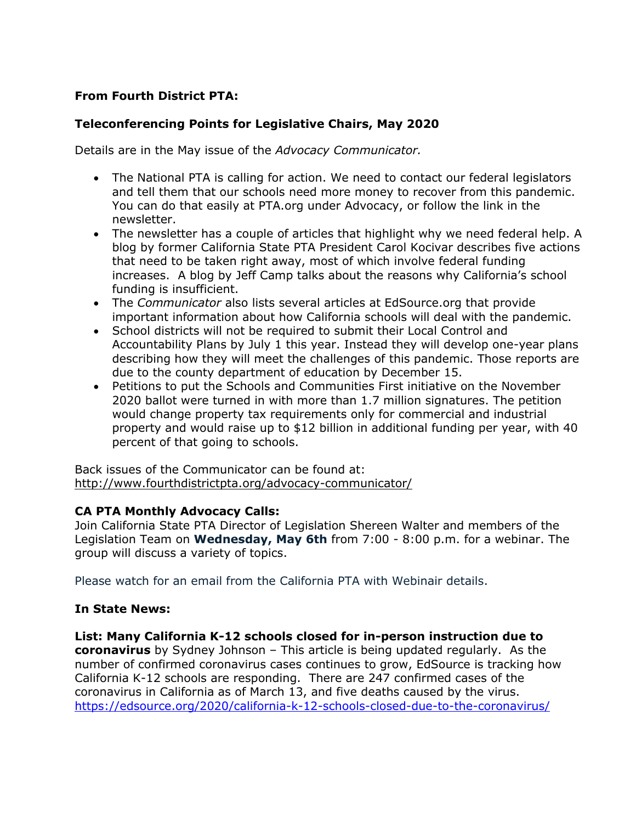## **From Fourth District PTA:**

### **Teleconferencing Points for Legislative Chairs, May 2020**

Details are in the May issue of the *Advocacy Communicator.*

- The National PTA is calling for action. We need to contact our federal legislators and tell them that our schools need more money to recover from this pandemic. You can do that easily at PTA.org under Advocacy, or follow the link in the newsletter.
- The newsletter has a couple of articles that highlight why we need federal help. A blog by former California State PTA President Carol Kocivar describes five actions that need to be taken right away, most of which involve federal funding increases. A blog by Jeff Camp talks about the reasons why California's school funding is insufficient.
- The *Communicator* also lists several articles at EdSource.org that provide important information about how California schools will deal with the pandemic.
- School districts will not be required to submit their Local Control and Accountability Plans by July 1 this year. Instead they will develop one-year plans describing how they will meet the challenges of this pandemic. Those reports are due to the county department of education by December 15.
- Petitions to put the Schools and Communities First initiative on the November 2020 ballot were turned in with more than 1.7 million signatures. The petition would change property tax requirements only for commercial and industrial property and would raise up to \$12 billion in additional funding per year, with 40 percent of that going to schools.

Back issues of the Communicator can be found at: <http://www.fourthdistrictpta.org/advocacy-communicator/>

#### **CA PTA Monthly Advocacy Calls:**

Join California State PTA Director of Legislation Shereen Walter and members of the Legislation Team on **Wednesday, May 6th** from 7:00 - 8:00 p.m. for a webinar. The group will discuss a variety of topics.

Please watch for an email from the California PTA with Webinair details.

#### **In State News:**

**List: Many California K-12 schools closed for in-person instruction due to coronavirus** by Sydney Johnson – This article is being updated regularly. As the number of confirmed coronavirus cases continues to grow, EdSource is tracking how California K-12 schools are responding. There are 247 confirmed cases of the coronavirus in California as of March 13, and five deaths caused by the virus. <https://edsource.org/2020/california-k-12-schools-closed-due-to-the-coronavirus/>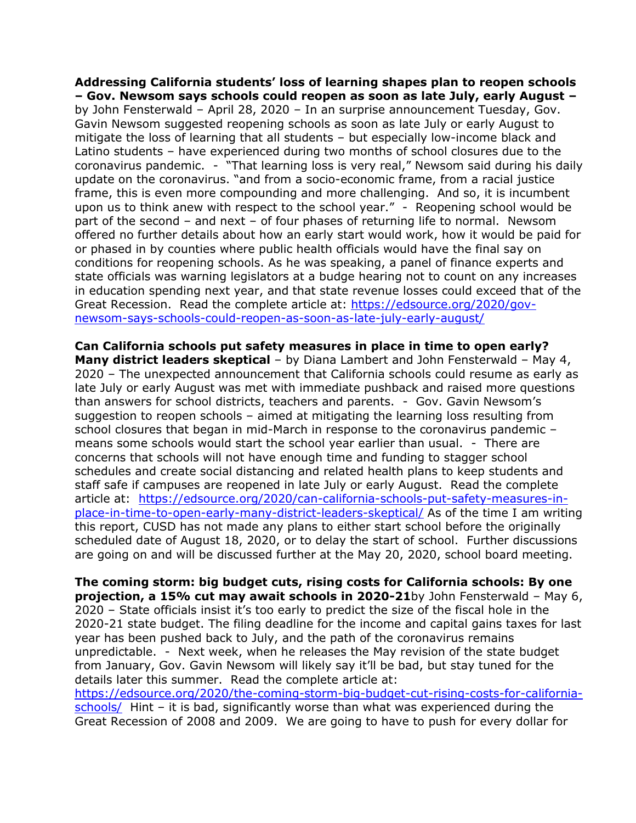**Addressing California students' loss of learning shapes plan to reopen schools – Gov. Newsom says schools could reopen as soon as late July, early August –** by John Fensterwald – April 28, 2020 – In an surprise announcement Tuesday, Gov. Gavin Newsom suggested reopening schools as soon as late July or early August to mitigate the loss of learning that all students – but especially low-income black and Latino students – have experienced during two months of school closures due to the coronavirus pandemic. - "That learning loss is very real," Newsom said during his daily update on the coronavirus. "and from a socio-economic frame, from a racial justice frame, this is even more compounding and more challenging. And so, it is incumbent upon us to think anew with respect to the school year." - Reopening school would be part of the second – and next – of four phases of returning life to normal. Newsom offered no further details about how an early start would work, how it would be paid for or phased in by counties where public health officials would have the final say on conditions for reopening schools. As he was speaking, a panel of finance experts and state officials was warning legislators at a budge hearing not to count on any increases in education spending next year, and that state revenue losses could exceed that of the Great Recession. Read the complete article at: [https://edsource.org/2020/gov](https://edsource.org/2020/gov-newsom-says-schools-could-reopen-as-soon-as-late-july-early-august/)[newsom-says-schools-could-reopen-as-soon-as-late-july-early-august/](https://edsource.org/2020/gov-newsom-says-schools-could-reopen-as-soon-as-late-july-early-august/)

**Can California schools put safety measures in place in time to open early? Many district leaders skeptical** – by Diana Lambert and John Fensterwald – May 4, 2020 – The unexpected announcement that California schools could resume as early as late July or early August was met with immediate pushback and raised more questions than answers for school districts, teachers and parents. - Gov. Gavin Newsom's suggestion to reopen schools – aimed at mitigating the learning loss resulting from school closures that began in mid-March in response to the coronavirus pandemic – means some schools would start the school year earlier than usual. - There are concerns that schools will not have enough time and funding to stagger school schedules and create social distancing and related health plans to keep students and staff safe if campuses are reopened in late July or early August. Read the complete article at: [https://edsource.org/2020/can-california-schools-put-safety-measures-in](https://edsource.org/2020/can-california-schools-put-safety-measures-in-place-in-time-to-open-early-many-district-leaders-skeptical/)[place-in-time-to-open-early-many-district-leaders-skeptical/](https://edsource.org/2020/can-california-schools-put-safety-measures-in-place-in-time-to-open-early-many-district-leaders-skeptical/) As of the time I am writing this report, CUSD has not made any plans to either start school before the originally scheduled date of August 18, 2020, or to delay the start of school. Further discussions are going on and will be discussed further at the May 20, 2020, school board meeting.

**The coming storm: big budget cuts, rising costs for California schools: By one projection, a 15% cut may await schools in 2020-21**by John Fensterwald – May 6, 2020 – State officials insist it's too early to predict the size of the fiscal hole in the 2020-21 state budget. The filing deadline for the income and capital gains taxes for last year has been pushed back to July, and the path of the coronavirus remains unpredictable. - Next week, when he releases the May revision of the state budget from January, Gov. Gavin Newsom will likely say it'll be bad, but stay tuned for the details later this summer. Read the complete article at: [https://edsource.org/2020/the-coming-storm-big-budget-cut-rising-costs-for-california](https://edsource.org/2020/the-coming-storm-big-budget-cut-rising-costs-for-california-schools/)[schools/](https://edsource.org/2020/the-coming-storm-big-budget-cut-rising-costs-for-california-schools/) Hint – it is bad, significantly worse than what was experienced during the

Great Recession of 2008 and 2009. We are going to have to push for every dollar for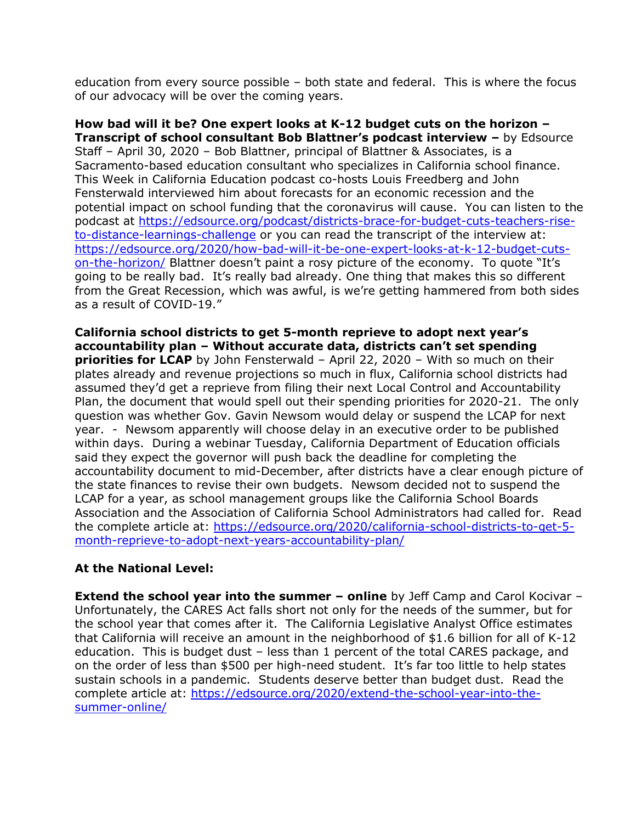education from every source possible – both state and federal. This is where the focus of our advocacy will be over the coming years.

**How bad will it be? One expert looks at K-12 budget cuts on the horizon – Transcript of school consultant Bob Blattner's podcast interview –** by Edsource Staff – April 30, 2020 – Bob Blattner, principal of Blattner & Associates, is a Sacramento-based education consultant who specializes in California school finance. This Week in California Education podcast co-hosts Louis Freedberg and John Fensterwald interviewed him about forecasts for an economic recession and the potential impact on school funding that the coronavirus will cause. You can listen to the podcast at [https://edsource.org/podcast/districts-brace-for-budget-cuts-teachers-rise](https://edsource.org/podcast/districts-brace-for-budget-cuts-teachers-rise-to-distance-learnings-challenge)[to-distance-learnings-challenge](https://edsource.org/podcast/districts-brace-for-budget-cuts-teachers-rise-to-distance-learnings-challenge) or you can read the transcript of the interview at: [https://edsource.org/2020/how-bad-will-it-be-one-expert-looks-at-k-12-budget-cuts](https://edsource.org/2020/how-bad-will-it-be-one-expert-looks-at-k-12-budget-cuts-on-the-horizon/)[on-the-horizon/](https://edsource.org/2020/how-bad-will-it-be-one-expert-looks-at-k-12-budget-cuts-on-the-horizon/) Blattner doesn't paint a rosy picture of the economy. To quote "It's going to be really bad. It's really bad already. One thing that makes this so different from the Great Recession, which was awful, is we're getting hammered from both sides as a result of COVID-19."

**California school districts to get 5-month reprieve to adopt next year's accountability plan – Without accurate data, districts can't set spending priorities for LCAP** by John Fensterwald – April 22, 2020 – With so much on their plates already and revenue projections so much in flux, California school districts had assumed they'd get a reprieve from filing their next Local Control and Accountability Plan, the document that would spell out their spending priorities for 2020-21. The only question was whether Gov. Gavin Newsom would delay or suspend the LCAP for next year. - Newsom apparently will choose delay in an executive order to be published within days. During a webinar Tuesday, California Department of Education officials said they expect the governor will push back the deadline for completing the accountability document to mid-December, after districts have a clear enough picture of the state finances to revise their own budgets. Newsom decided not to suspend the LCAP for a year, as school management groups like the California School Boards Association and the Association of California School Administrators had called for. Read the complete article at: [https://edsource.org/2020/california-school-districts-to-get-5](https://edsource.org/2020/california-school-districts-to-get-5-month-reprieve-to-adopt-next-years-accountability-plan/) [month-reprieve-to-adopt-next-years-accountability-plan/](https://edsource.org/2020/california-school-districts-to-get-5-month-reprieve-to-adopt-next-years-accountability-plan/)

#### **At the National Level:**

**Extend the school year into the summer – online** by Jeff Camp and Carol Kocivar – Unfortunately, the CARES Act falls short not only for the needs of the summer, but for the school year that comes after it. The California Legislative Analyst Office estimates that California will receive an amount in the neighborhood of \$1.6 billion for all of K-12 education. This is budget dust – less than 1 percent of the total CARES package, and on the order of less than \$500 per high-need student. It's far too little to help states sustain schools in a pandemic. Students deserve better than budget dust. Read the complete article at: [https://edsource.org/2020/extend-the-school-year-into-the](https://edsource.org/2020/extend-the-school-year-into-the-summer-online/)[summer-online/](https://edsource.org/2020/extend-the-school-year-into-the-summer-online/)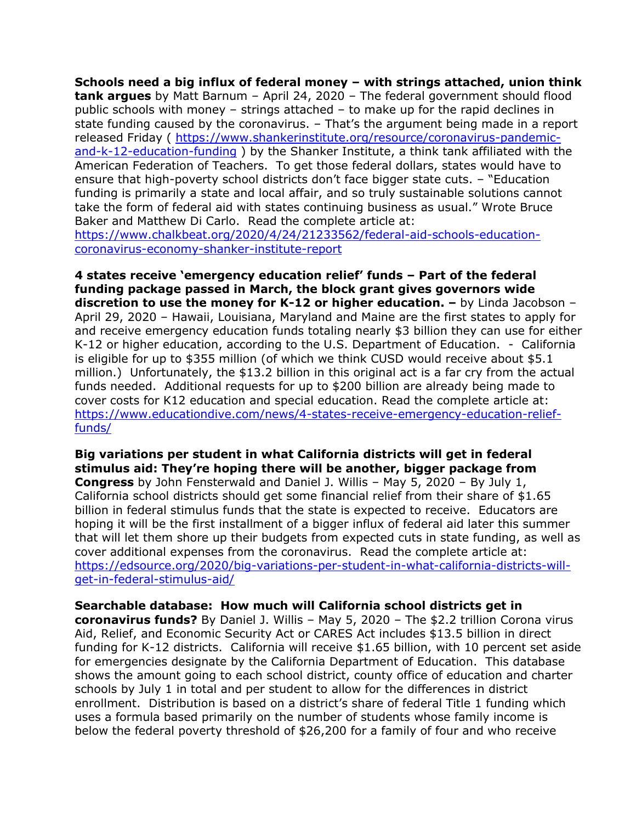**Schools need a big influx of federal money – with strings attached, union think tank argues** by Matt Barnum – April 24, 2020 – The federal government should flood public schools with money – strings attached – to make up for the rapid declines in state funding caused by the coronavirus. – That's the argument being made in a report released Friday ( [https://www.shankerinstitute.org/resource/coronavirus-pandemic](https://www.shankerinstitute.org/resource/coronavirus-pandemic-and-k-12-education-funding)[and-k-12-education-funding](https://www.shankerinstitute.org/resource/coronavirus-pandemic-and-k-12-education-funding) ) by the Shanker Institute, a think tank affiliated with the American Federation of Teachers. To get those federal dollars, states would have to ensure that high-poverty school districts don't face bigger state cuts. – "Education funding is primarily a state and local affair, and so truly sustainable solutions cannot take the form of federal aid with states continuing business as usual." Wrote Bruce Baker and Matthew Di Carlo. Read the complete article at: [https://www.chalkbeat.org/2020/4/24/21233562/federal-aid-schools-education](https://www.chalkbeat.org/2020/4/24/21233562/federal-aid-schools-education-coronavirus-economy-shanker-institute-report)[coronavirus-economy-shanker-institute-report](https://www.chalkbeat.org/2020/4/24/21233562/federal-aid-schools-education-coronavirus-economy-shanker-institute-report)

**4 states receive 'emergency education relief' funds – Part of the federal funding package passed in March, the block grant gives governors wide discretion to use the money for K-12 or higher education.**  $-$  **by Linda Jacobson –** April 29, 2020 – Hawaii, Louisiana, Maryland and Maine are the first states to apply for and receive emergency education funds totaling nearly \$3 billion they can use for either K-12 or higher education, according to the U.S. Department of Education. - California is eligible for up to \$355 million (of which we think CUSD would receive about \$5.1 million.) Unfortunately, the \$13.2 billion in this original act is a far cry from the actual funds needed. Additional requests for up to \$200 billion are already being made to cover costs for K12 education and special education. Read the complete article at: [https://www.educationdive.com/news/4-states-receive-emergency-education-relief](https://www.educationdive.com/news/4-states-receive-emergency-education-relief-funds/)[funds/](https://www.educationdive.com/news/4-states-receive-emergency-education-relief-funds/)

**Big variations per student in what California districts will get in federal stimulus aid: They're hoping there will be another, bigger package from Congress** by John Fensterwald and Daniel J. Willis – May 5, 2020 – By July 1, California school districts should get some financial relief from their share of \$1.65 billion in federal stimulus funds that the state is expected to receive. Educators are hoping it will be the first installment of a bigger influx of federal aid later this summer that will let them shore up their budgets from expected cuts in state funding, as well as cover additional expenses from the coronavirus. Read the complete article at: [https://edsource.org/2020/big-variations-per-student-in-what-california-districts-will](https://edsource.org/2020/big-variations-per-student-in-what-california-districts-will-get-in-federal-stimulus-aid/)[get-in-federal-stimulus-aid/](https://edsource.org/2020/big-variations-per-student-in-what-california-districts-will-get-in-federal-stimulus-aid/)

**Searchable database: How much will California school districts get in coronavirus funds?** By Daniel J. Willis – May 5, 2020 – The \$2.2 trillion Corona virus Aid, Relief, and Economic Security Act or CARES Act includes \$13.5 billion in direct funding for K-12 districts. California will receive \$1.65 billion, with 10 percent set aside for emergencies designate by the California Department of Education. This database shows the amount going to each school district, county office of education and charter schools by July 1 in total and per student to allow for the differences in district enrollment. Distribution is based on a district's share of federal Title 1 funding which uses a formula based primarily on the number of students whose family income is below the federal poverty threshold of \$26,200 for a family of four and who receive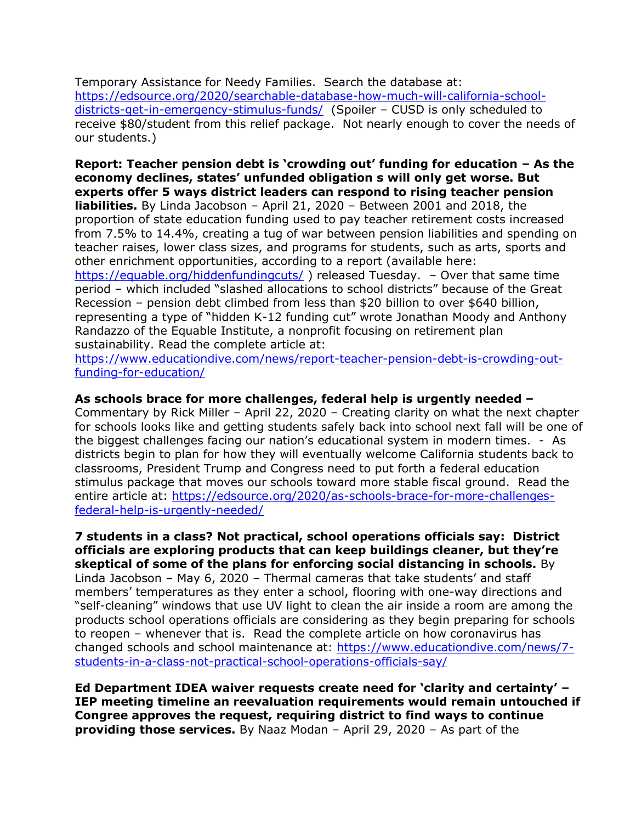Temporary Assistance for Needy Families. Search the database at: [https://edsource.org/2020/searchable-database-how-much-will-california-school](https://edsource.org/2020/searchable-database-how-much-will-california-school-districts-get-in-emergency-stimulus-funds/)[districts-get-in-emergency-stimulus-funds/](https://edsource.org/2020/searchable-database-how-much-will-california-school-districts-get-in-emergency-stimulus-funds/) (Spoiler - CUSD is only scheduled to receive \$80/student from this relief package. Not nearly enough to cover the needs of our students.)

**Report: Teacher pension debt is 'crowding out' funding for education – As the economy declines, states' unfunded obligation s will only get worse. But experts offer 5 ways district leaders can respond to rising teacher pension liabilities.** By Linda Jacobson – April 21, 2020 – Between 2001 and 2018, the proportion of state education funding used to pay teacher retirement costs increased from 7.5% to 14.4%, creating a tug of war between pension liabilities and spending on teacher raises, lower class sizes, and programs for students, such as arts, sports and other enrichment opportunities, according to a report (available here: <https://equable.org/hiddenfundingcuts/> ) released Tuesday. - Over that same time period – which included "slashed allocations to school districts" because of the Great Recession – pension debt climbed from less than \$20 billion to over \$640 billion, representing a type of "hidden K-12 funding cut" wrote Jonathan Moody and Anthony Randazzo of the Equable Institute, a nonprofit focusing on retirement plan sustainability. Read the complete article at:

[https://www.educationdive.com/news/report-teacher-pension-debt-is-crowding-out](https://www.educationdive.com/news/report-teacher-pension-debt-is-crowding-out-funding-for-education/)[funding-for-education/](https://www.educationdive.com/news/report-teacher-pension-debt-is-crowding-out-funding-for-education/)

#### **As schools brace for more challenges, federal help is urgently needed –**

Commentary by Rick Miller – April 22, 2020 – Creating clarity on what the next chapter for schools looks like and getting students safely back into school next fall will be one of the biggest challenges facing our nation's educational system in modern times. - As districts begin to plan for how they will eventually welcome California students back to classrooms, President Trump and Congress need to put forth a federal education stimulus package that moves our schools toward more stable fiscal ground. Read the entire article at: [https://edsource.org/2020/as-schools-brace-for-more-challenges](https://edsource.org/2020/as-schools-brace-for-more-challenges-federal-help-is-urgently-needed/)[federal-help-is-urgently-needed/](https://edsource.org/2020/as-schools-brace-for-more-challenges-federal-help-is-urgently-needed/)

**7 students in a class? Not practical, school operations officials say: District officials are exploring products that can keep buildings cleaner, but they're skeptical of some of the plans for enforcing social distancing in schools.** By Linda Jacobson – May 6, 2020 – Thermal cameras that take students' and staff members' temperatures as they enter a school, flooring with one-way directions and "self-cleaning" windows that use UV light to clean the air inside a room are among the products school operations officials are considering as they begin preparing for schools to reopen – whenever that is. Read the complete article on how coronavirus has changed schools and school maintenance at: [https://www.educationdive.com/news/7](https://www.educationdive.com/news/7-students-in-a-class-not-practical-school-operations-officials-say/) [students-in-a-class-not-practical-school-operations-officials-say/](https://www.educationdive.com/news/7-students-in-a-class-not-practical-school-operations-officials-say/)

**Ed Department IDEA waiver requests create need for 'clarity and certainty' – IEP meeting timeline an reevaluation requirements would remain untouched if Congree approves the request, requiring district to find ways to continue providing those services.** By Naaz Modan – April 29, 2020 – As part of the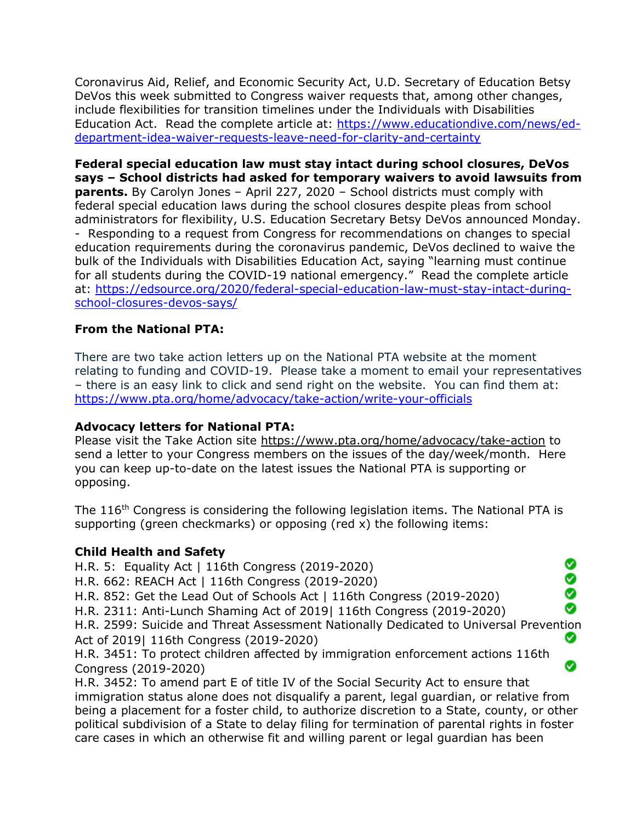Coronavirus Aid, Relief, and Economic Security Act, U.D. Secretary of Education Betsy DeVos this week submitted to Congress waiver requests that, among other changes, include flexibilities for transition timelines under the Individuals with Disabilities Education Act. Read the complete article at: [https://www.educationdive.com/news/ed](https://www.educationdive.com/news/ed-department-idea-waiver-requests-leave-need-for-clarity-and-certainty)[department-idea-waiver-requests-leave-need-for-clarity-and-certainty](https://www.educationdive.com/news/ed-department-idea-waiver-requests-leave-need-for-clarity-and-certainty)

**Federal special education law must stay intact during school closures, DeVos says – School districts had asked for temporary waivers to avoid lawsuits from parents.** By Carolyn Jones - April 227, 2020 - School districts must comply with federal special education laws during the school closures despite pleas from school administrators for flexibility, U.S. Education Secretary Betsy DeVos announced Monday. - Responding to a request from Congress for recommendations on changes to special education requirements during the coronavirus pandemic, DeVos declined to waive the bulk of the Individuals with Disabilities Education Act, saying "learning must continue for all students during the COVID-19 national emergency." Read the complete article at: [https://edsource.org/2020/federal-special-education-law-must-stay-intact-during](https://edsource.org/2020/federal-special-education-law-must-stay-intact-during-school-closures-devos-says/)[school-closures-devos-says/](https://edsource.org/2020/federal-special-education-law-must-stay-intact-during-school-closures-devos-says/)

### **From the National PTA:**

There are two take action letters up on the National PTA website at the moment relating to funding and COVID-19. Please take a moment to email your representatives – there is an easy link to click and send right on the website. You can find them at: <https://www.pta.org/home/advocacy/take-action/write-your-officials>

#### **Advocacy letters for National PTA:**

Please visit the Take Action site<https://www.pta.org/home/advocacy/take-action> to send a letter to your Congress members on the issues of the day/week/month. Here you can keep up-to-date on the latest issues the National PTA is supporting or opposing.

The 116<sup>th</sup> Congress is considering the following legislation items. The National PTA is supporting (green checkmarks) or opposing (red x) the following items:

#### **Child Health and Safety**

H.R. 5: Equality Act | 116th Congress (2019-2020)

H.R. 662: REACH Act | 116th Congress (2019-2020)

H.R. 852: Get the Lead Out of Schools Act | 116th Congress (2019-2020)

H.R. 2311: Anti-Lunch Shaming Act of 2019| 116th Congress (2019-2020)

H.R. 2599: Suicide and Threat Assessment Nationally Dedicated to Universal Prevention Act of 2019| 116th Congress (2019-2020) Ø

္တ Ø Ø

Ø

H.R. 3451: To protect children affected by immigration enforcement actions 116th Congress (2019-2020)

H.R. 3452: To amend part E of title IV of the Social Security Act to ensure that immigration status alone does not disqualify a parent, legal guardian, or relative from being a placement for a foster child, to authorize discretion to a State, county, or other political subdivision of a State to delay filing for termination of parental rights in foster care cases in which an otherwise fit and willing parent or legal guardian has been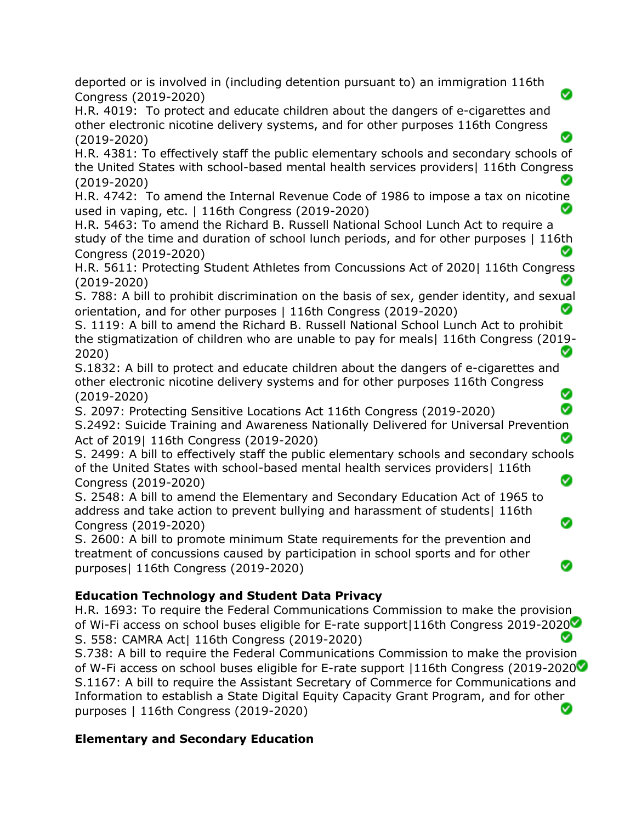deported or is involved in (including detention pursuant to) an immigration 116th Congress (2019-2020)

H.R. 4019: To protect and educate children about the dangers of e-cigarettes and other electronic nicotine delivery systems, and for other purposes 116th Congress (2019-2020)

H.R. 4381: To effectively staff the public elementary schools and secondary schools of the United States with school-based mental health services providers| 116th Congress (2019-2020)

H.R. 4742: To amend the Internal Revenue Code of 1986 to impose a tax on nicotine used in vaping, etc. | 116th Congress (2019-2020)

H.R. 5463: To amend the Richard B. Russell National School Lunch Act to require a study of the time and duration of school lunch periods, and for other purposes | 116th Congress (2019-2020)

H.R. 5611: Protecting Student Athletes from Concussions Act of 2020| 116th Congress (2019-2020)

S. 788: A bill to prohibit discrimination on the basis of sex, gender identity, and sexual orientation, and for other purposes | 116th Congress (2019-2020) Ø

S. 1119: A bill to amend the Richard B. Russell National School Lunch Act to prohibit the stigmatization of children who are unable to pay for meals| 116th Congress (2019- ◙ 2020)

S.1832: A bill to protect and educate children about the dangers of e-cigarettes and other electronic nicotine delivery systems and for other purposes 116th Congress ⊗ (2019-2020)

S. 2097: Protecting Sensitive Locations Act 116th Congress (2019-2020) ☎ S.2492: Suicide Training and Awareness Nationally Delivered for Universal Prevention Act of 2019| 116th Congress (2019-2020) ◙

S. 2499: A bill to effectively staff the public elementary schools and secondary schools of the United States with school-based mental health services providers| 116th Ø Congress (2019-2020)

Ω

S. 2548: A bill to amend the Elementary and Secondary Education Act of 1965 to address and take action to prevent bullying and harassment of students| 116th Congress (2019-2020)

S. 2600: A bill to promote minimum State requirements for the prevention and treatment of concussions caused by participation in school sports and for other purposes| 116th Congress (2019-2020)

## **Education Technology and Student Data Privacy**

H.R. 1693: To require the Federal Communications Commission to make the provision of Wi-Fi access on school buses eligible for E-rate support|116th Congress 2019-2020 Ø S. 558: CAMRA Act| 116th Congress (2019-2020)

S.738: A bill to require the Federal Communications Commission to make the provision of W-Fi access on school buses eligible for E-rate support |116th Congress (2019-2020 S.1167: A bill to require the Assistant Secretary of Commerce for Communications and Information to establish a State Digital Equity Capacity Grant Program, and for other purposes | 116th Congress (2019-2020)

### **Elementary and Secondary Education**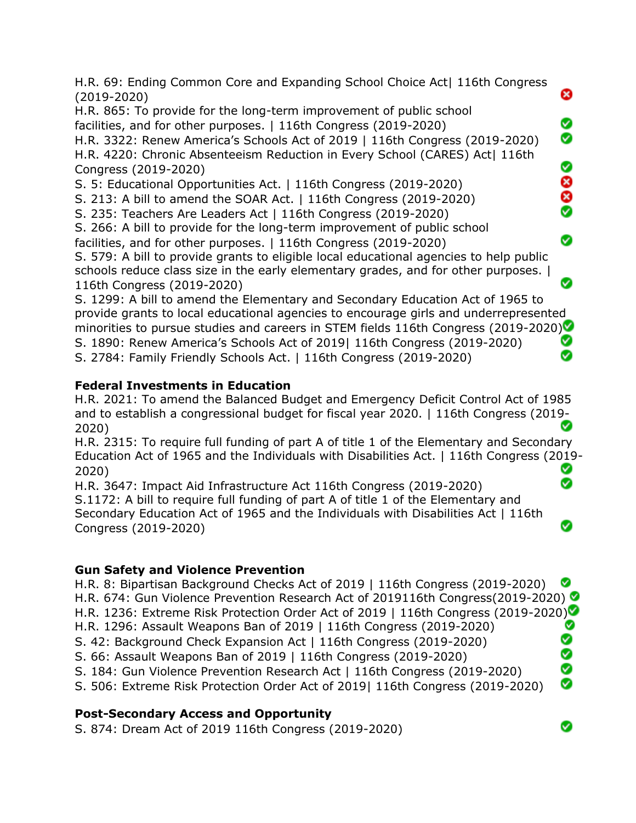H.R. 69: Ending Common Core and Expanding School Choice Act| 116th Congress ೞ (2019-2020) H.R. 865: To provide for the long-term improvement of public school Ø facilities, and for other purposes. | 116th Congress (2019-2020) Ø H.R. 3322: Renew America's Schools Act of 2019 | 116th Congress (2019-2020) H.R. 4220: Chronic Absenteeism Reduction in Every School (CARES) Act| 116th 0 Congress (2019-2020) 88<br>8 S. 5: Educational Opportunities Act. | 116th Congress (2019-2020) S. 213: A bill to amend the SOAR Act. | 116th Congress (2019-2020) S. 235: Teachers Are Leaders Act | 116th Congress (2019-2020) S. 266: A bill to provide for the long-term improvement of public school Ø facilities, and for other purposes. | 116th Congress (2019-2020) S. 579: A bill to provide grants to eligible local educational agencies to help public schools reduce class size in the early elementary grades, and for other purposes. | 116th Congress (2019-2020) S. 1299: A bill to amend the Elementary and Secondary Education Act of 1965 to provide grants to local educational agencies to encourage girls and underrepresented minorities to pursue studies and careers in STEM fields 116th Congress (2019-2020) Ø S. 1890: Renew America's Schools Act of 2019| 116th Congress (2019-2020)

S. 2784: Family Friendly Schools Act. | 116th Congress (2019-2020)

## **Federal Investments in Education**

H.R. 2021: To amend the Balanced Budget and Emergency Deficit Control Act of 1985 and to establish a congressional budget for fiscal year 2020. | 116th Congress (2019- 2020)

H.R. 2315: To require full funding of part A of title 1 of the Elementary and Secondary Education Act of 1965 and the Individuals with Disabilities Act. | 116th Congress (2019- 2020) Ø Ø

H.R. 3647: Impact Aid Infrastructure Act 116th Congress (2019-2020) S.1172: A bill to require full funding of part A of title 1 of the Elementary and Secondary Education Act of 1965 and the Individuals with Disabilities Act | 116th Congress (2019-2020)

## **Gun Safety and Violence Prevention**

H.R. 8: Bipartisan Background Checks Act of 2019 | 116th Congress (2019-2020) Ø H.R. 674: Gun Violence Prevention Research Act of 2019116th Congress(2019-2020) H.R. 1236: Extreme Risk Protection Order Act of 2019 | 116th Congress (2019-2020) ❤ H.R. 1296: Assault Weapons Ban of 2019 | 116th Congress (2019-2020) 0 S. 42: Background Check Expansion Act | 116th Congress (2019-2020) **9** S. 66: Assault Weapons Ban of 2019 | 116th Congress (2019-2020) S. 184: Gun Violence Prevention Research Act | 116th Congress (2019-2020) Ø S. 506: Extreme Risk Protection Order Act of 2019| 116th Congress (2019-2020)

# **Post-Secondary Access and Opportunity**

S. 874: Dream Act of 2019 116th Congress (2019-2020)

⊗

Ø